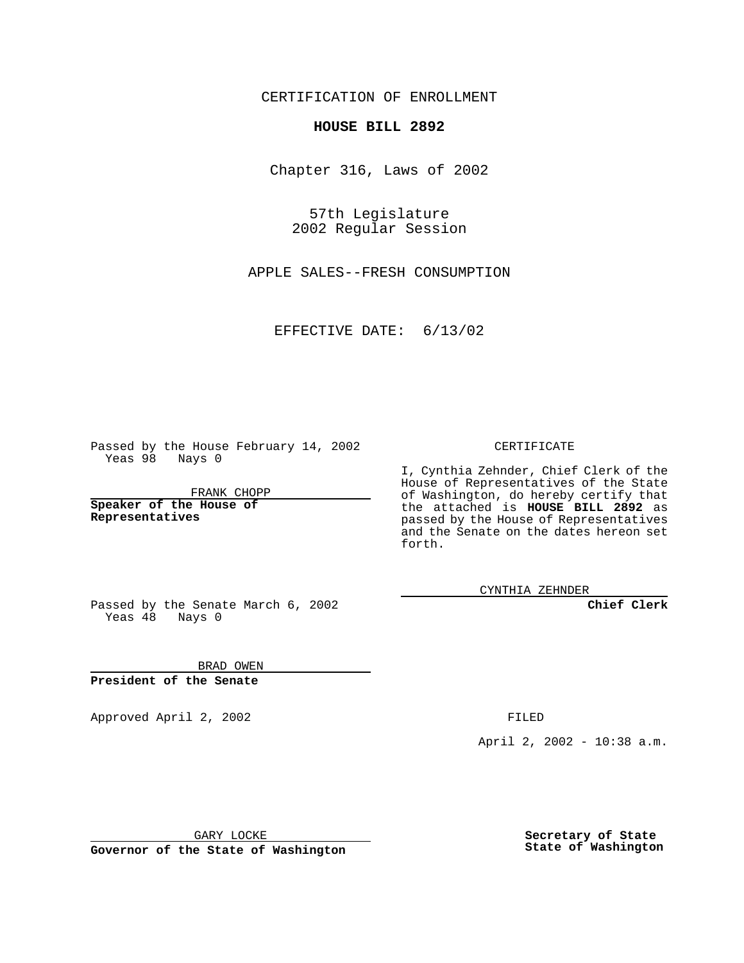CERTIFICATION OF ENROLLMENT

## **HOUSE BILL 2892**

Chapter 316, Laws of 2002

57th Legislature 2002 Regular Session

APPLE SALES--FRESH CONSUMPTION

EFFECTIVE DATE: 6/13/02

Passed by the House February 14, 2002 Yeas 98 Nays 0

FRANK CHOPP

**Speaker of the House of Representatives**

CERTIFICATE

I, Cynthia Zehnder, Chief Clerk of the House of Representatives of the State of Washington, do hereby certify that the attached is **HOUSE BILL 2892** as passed by the House of Representatives and the Senate on the dates hereon set forth.

CYNTHIA ZEHNDER

**Chief Clerk**

Passed by the Senate March 6, 2002 Yeas  $48$  Nays 0

BRAD OWEN **President of the Senate**

Approved April 2, 2002 **FILED** 

April 2, 2002 - 10:38 a.m.

GARY LOCKE

**Governor of the State of Washington**

**Secretary of State State of Washington**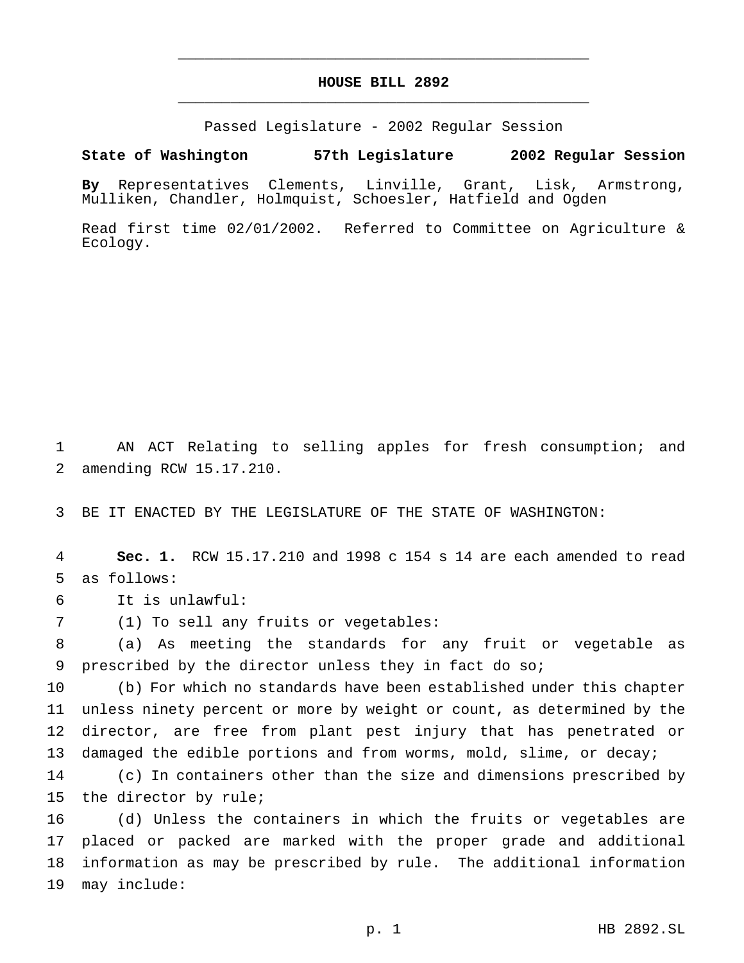## **HOUSE BILL 2892** \_\_\_\_\_\_\_\_\_\_\_\_\_\_\_\_\_\_\_\_\_\_\_\_\_\_\_\_\_\_\_\_\_\_\_\_\_\_\_\_\_\_\_\_\_\_\_

\_\_\_\_\_\_\_\_\_\_\_\_\_\_\_\_\_\_\_\_\_\_\_\_\_\_\_\_\_\_\_\_\_\_\_\_\_\_\_\_\_\_\_\_\_\_\_

Passed Legislature - 2002 Regular Session

## **State of Washington 57th Legislature 2002 Regular Session**

**By** Representatives Clements, Linville, Grant, Lisk, Armstrong, Mulliken, Chandler, Holmquist, Schoesler, Hatfield and Ogden

Read first time 02/01/2002. Referred to Committee on Agriculture & Ecology.

 AN ACT Relating to selling apples for fresh consumption; and amending RCW 15.17.210.

BE IT ENACTED BY THE LEGISLATURE OF THE STATE OF WASHINGTON:

 **Sec. 1.** RCW 15.17.210 and 1998 c 154 s 14 are each amended to read as follows:

It is unlawful:

(1) To sell any fruits or vegetables:

 (a) As meeting the standards for any fruit or vegetable as prescribed by the director unless they in fact do so;

 (b) For which no standards have been established under this chapter unless ninety percent or more by weight or count, as determined by the director, are free from plant pest injury that has penetrated or 13 damaged the edible portions and from worms, mold, slime, or decay;

 (c) In containers other than the size and dimensions prescribed by the director by rule;

 (d) Unless the containers in which the fruits or vegetables are placed or packed are marked with the proper grade and additional information as may be prescribed by rule. The additional information may include: